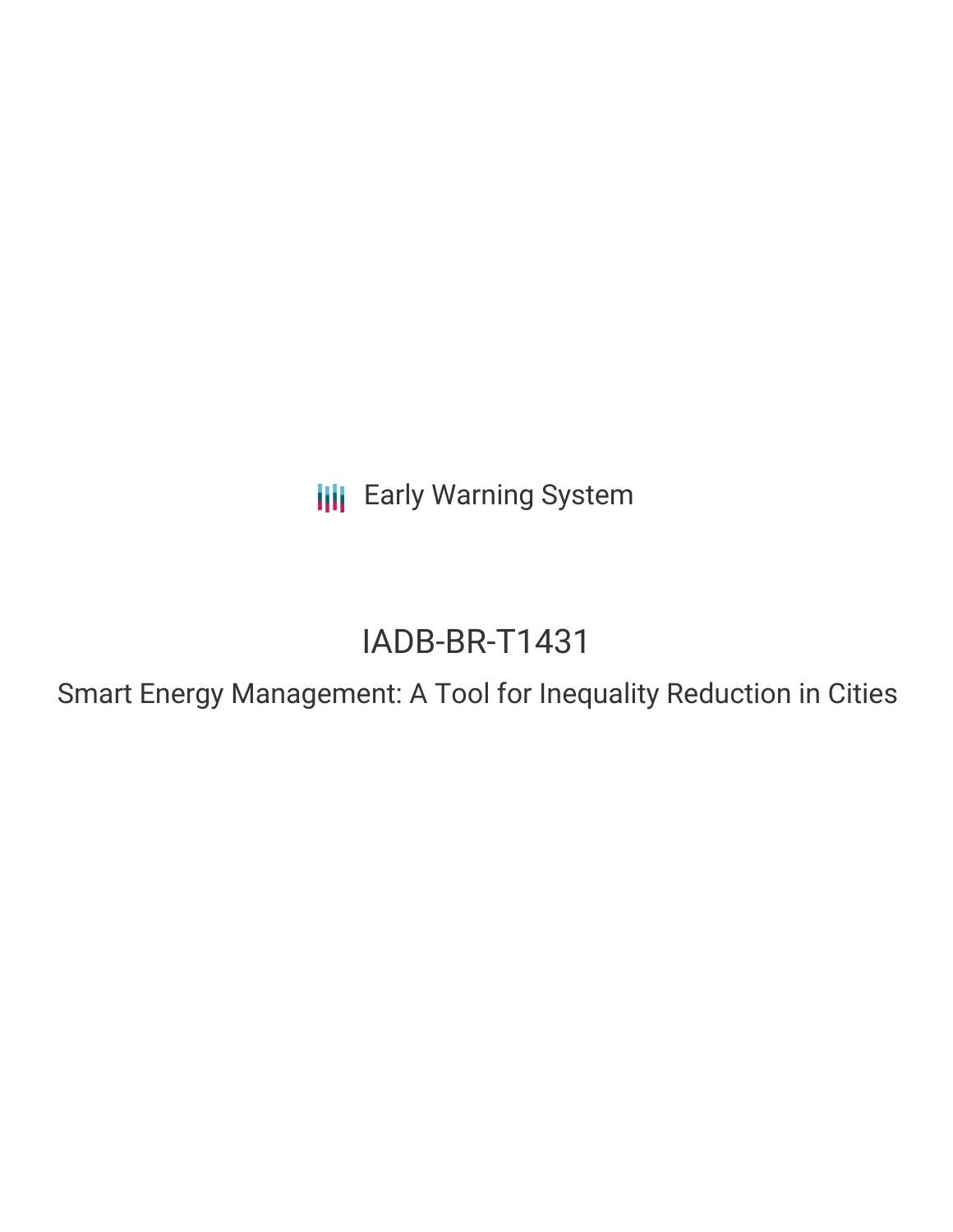**III** Early Warning System

# IADB-BR-T1431

Smart Energy Management: A Tool for Inequality Reduction in Cities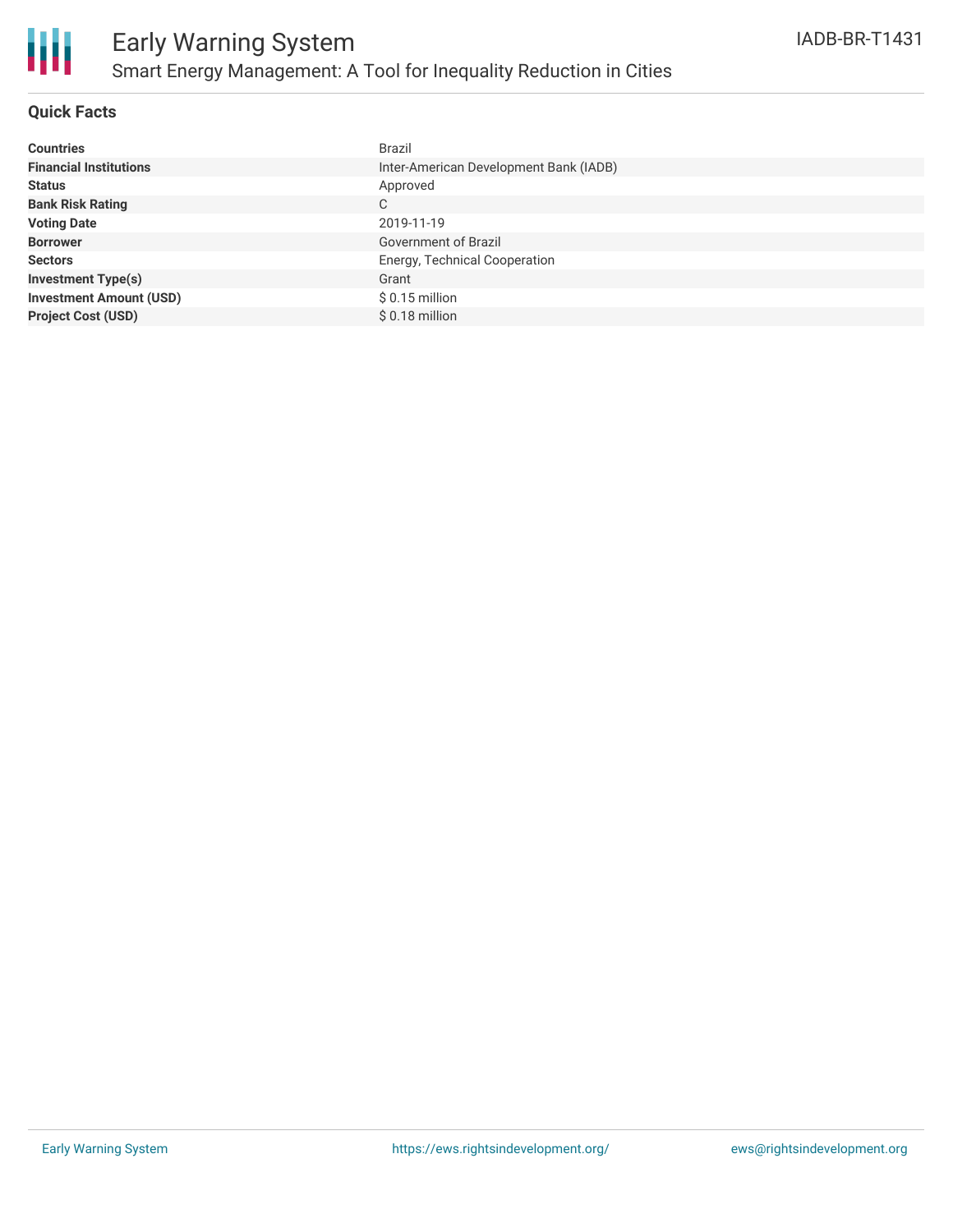

### **Quick Facts**

| <b>Countries</b>               | <b>Brazil</b>                          |
|--------------------------------|----------------------------------------|
| <b>Financial Institutions</b>  | Inter-American Development Bank (IADB) |
| <b>Status</b>                  | Approved                               |
| <b>Bank Risk Rating</b>        | C                                      |
| <b>Voting Date</b>             | 2019-11-19                             |
| <b>Borrower</b>                | Government of Brazil                   |
| <b>Sectors</b>                 | Energy, Technical Cooperation          |
| <b>Investment Type(s)</b>      | Grant                                  |
| <b>Investment Amount (USD)</b> | $$0.15$ million                        |
| <b>Project Cost (USD)</b>      | $$0.18$ million                        |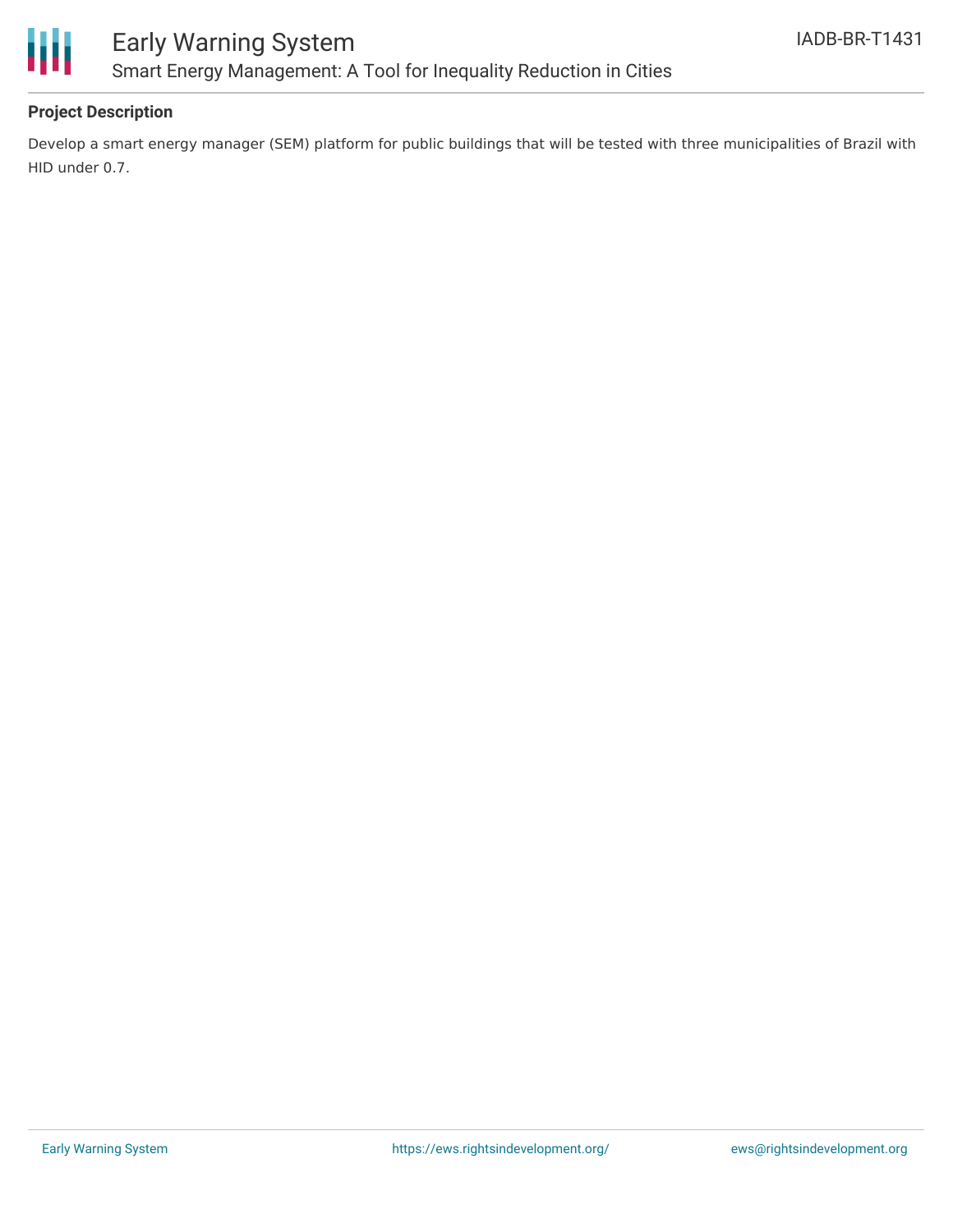

## **Project Description**

Develop a smart energy manager (SEM) platform for public buildings that will be tested with three municipalities of Brazil with HID under 0.7.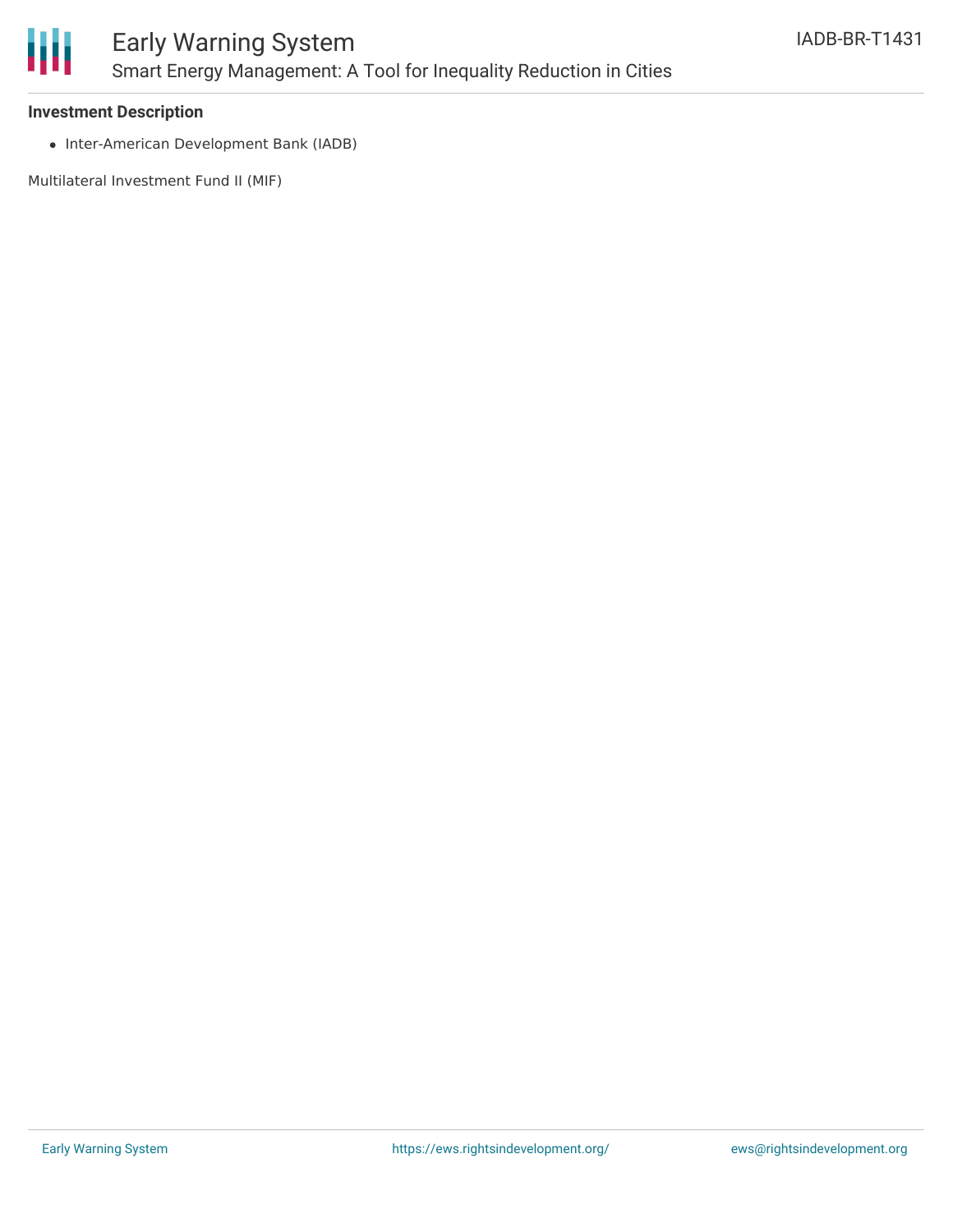

#### **Investment Description**

• Inter-American Development Bank (IADB)

Multilateral Investment Fund II (MIF)